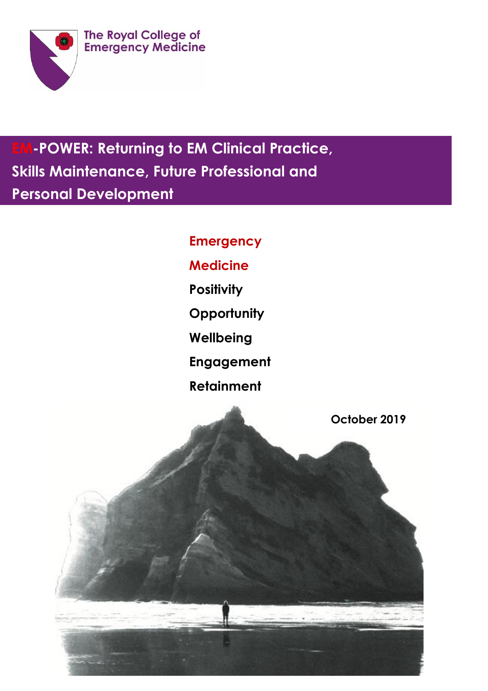

**EM-POWER: Returning to EM Clinical Practice, Skills Maintenance, Future Professional and Personal Development**

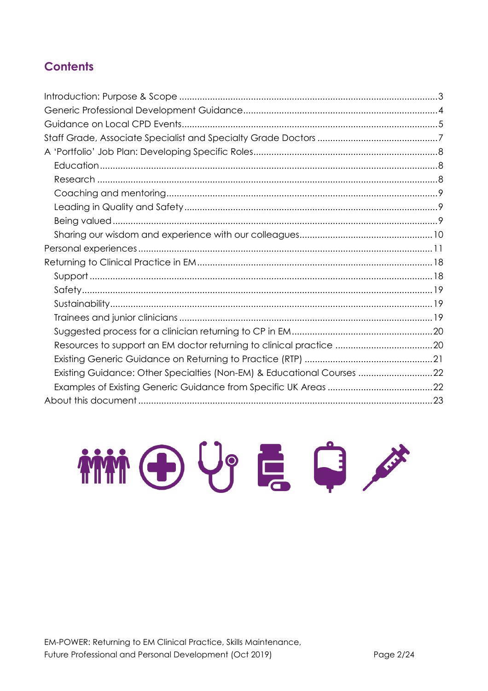# **Contents**

| Existing Guidance: Other Specialties (Non-EM) & Educational Courses 22 |  |
|------------------------------------------------------------------------|--|
|                                                                        |  |
|                                                                        |  |

THE UP E C

EM-POWER: Returning to EM Clinical Practice, Skills Maintenance, Future Professional and Personal Development (Oct 2019)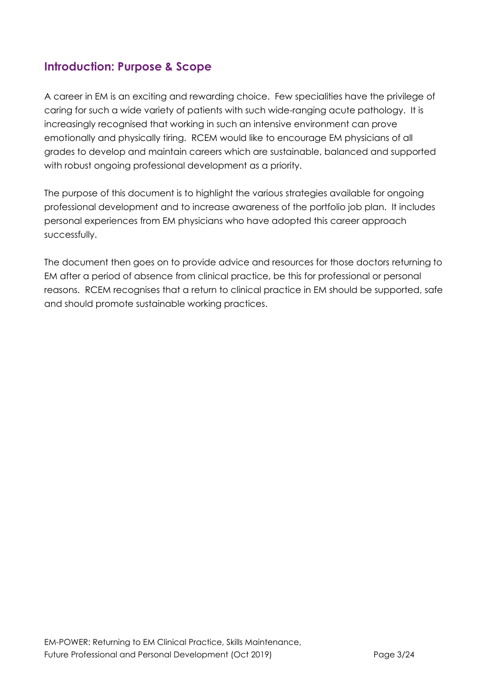## <span id="page-2-0"></span>**Introduction: Purpose & Scope**

A career in EM is an exciting and rewarding choice. Few specialities have the privilege of caring for such a wide variety of patients with such wide-ranging acute pathology. It is increasingly recognised that working in such an intensive environment can prove emotionally and physically tiring. RCEM would like to encourage EM physicians of all grades to develop and maintain careers which are sustainable, balanced and supported with robust ongoing professional development as a priority.

The purpose of this document is to highlight the various strategies available for ongoing professional development and to increase awareness of the portfolio job plan. It includes personal experiences from EM physicians who have adopted this career approach successfully.

The document then goes on to provide advice and resources for those doctors returning to EM after a period of absence from clinical practice, be this for professional or personal reasons. RCEM recognises that a return to clinical practice in EM should be supported, safe and should promote sustainable working practices.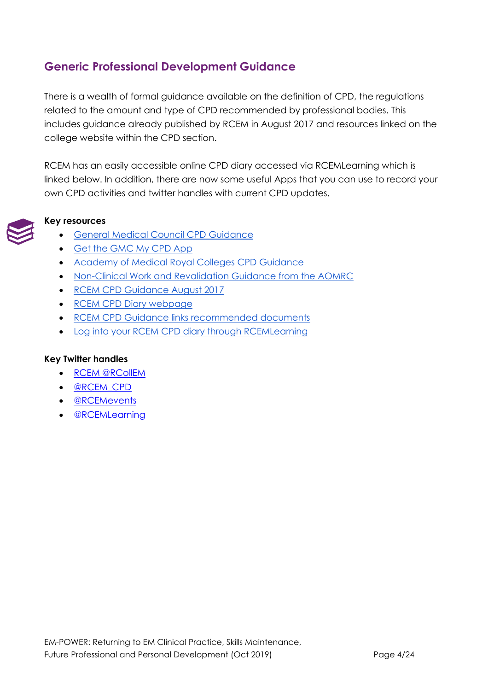# <span id="page-3-0"></span>**Generic Professional Development Guidance**

There is a wealth of formal guidance available on the definition of CPD, the regulations related to the amount and type of CPD recommended by professional bodies. This includes guidance already published by RCEM in August 2017 and resources linked on the college website within the CPD section.

RCEM has an easily accessible online CPD diary accessed via RCEMLearning which is linked below. In addition, there are now some useful Apps that you can use to record your own CPD activities and twitter handles with current CPD updates.



### **Key resources**

- [General Medical Council CPD Guidance](https://www.gmc-uk.org/education/standards-guidance-and-curricula/guidance/continuing-professional-development)
- [Get the GMC My CPD App](https://www.gmc-uk.org/education/standards-guidance-and-curricula/guidance/continuing-professional-development/get-the-my-cpd-app)
- [Academy of Medical Royal Colleges CPD Guidance](http://www.aomrc.org.uk/revalidation-cpd/cpdfaqs/)
- [Non-Clinical Work and Revalidation Guidance from the AOMRC](https://www.england.nhs.uk/mids-east/wp-content/uploads/sites/7/2014/11/non-standard-clinical-work-revalidation.pdf)
- [RCEM CPD Guidance August 2017](https://www.rcem.ac.uk/docs/Continual%20Professional%20Development/THE%20ROYAL%20COLLEGE%20OF%20EMERGENCY%20MEDICINE%20CPD%20GUIDANCE%202017%20FINAL.pdf)
- [RCEM CPD Diary webpage](https://www.rcem.ac.uk/RCEM/Professionals/Professional_Development/CPD/RCEM/ForProfessionals/Professional_Development/ContinuingProfessionalDevelopment.aspx)
- [RCEM CPD Guidance links recommended documents](https://www.rcem.ac.uk/RCEM/ForProfessionals/Professional_Development/ContinuingProfessionalDevelopment.aspx?WebsiteKey=b3d6bb2a-abba-44ed-b758-467776a958cd&hkey=30da4b89-b4ad-4abe-a13b-51791e92c010&CPD=3#CPD)
- [Log into your RCEM CPD diary through RCEMLearning](https://www.rcemlearning.co.uk/)

### **Key Twitter handles**

- [RCEM @RCollEM](https://twitter.com/RCollEM?ref_src=twsrc%5Egoogle%7Ctwcamp%5Eserp%7Ctwgr%5Eauthor)
- [@RCEM\\_CPD](https://twitter.com/RCEM_CPD)
- [@RCEMevents](https://twitter.com/RCEMevents)
- [@RCEMLearning](https://twitter.com/RCEMLearning)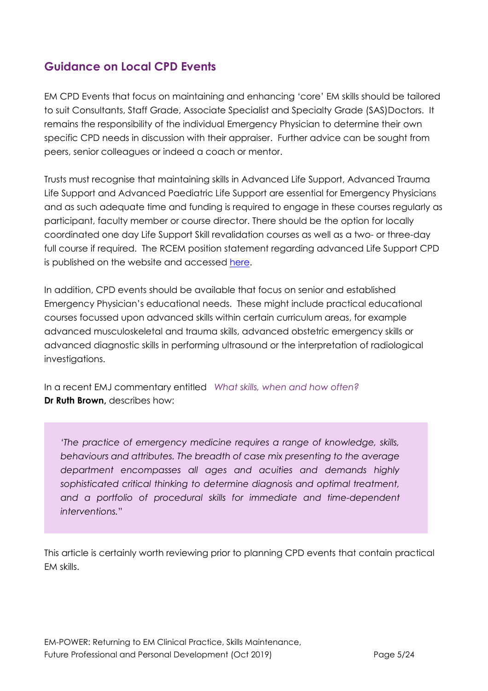# <span id="page-4-0"></span>**Guidance on Local CPD Events**

EM CPD Events that focus on maintaining and enhancing 'core' EM skills should be tailored to suit Consultants, Staff Grade, Associate Specialist and Specialty Grade (SAS)Doctors. It remains the responsibility of the individual Emergency Physician to determine their own specific CPD needs in discussion with their appraiser. Further advice can be sought from peers, senior colleagues or indeed a coach or mentor.

Trusts must recognise that maintaining skills in Advanced Life Support, Advanced Trauma Life Support and Advanced Paediatric Life Support are essential for Emergency Physicians and as such adequate time and funding is required to engage in these courses regularly as participant, faculty member or course director. There should be the option for locally coordinated one day Life Support Skill revalidation courses as well as a two- or three-day full course if required. The RCEM position statement regarding advanced Life Support CPD is published on the website and accessed [here.](https://www.rcem.ac.uk/docs/RCEM%20Guidance/RCEM%20Position%20statement%20-%20Advanced%20Life%20Support.pdf)

In addition, CPD events should be available that focus on senior and established Emergency Physician's educational needs. These might include practical educational courses focussed upon advanced skills within certain curriculum areas, for example advanced musculoskeletal and trauma skills, advanced obstetric emergency skills or advanced diagnostic skills in performing ultrasound or the interpretation of radiological investigations.

In a recent EMJ commentary entitled *[What skills, when and how often?](https://emj.bmj.com/content/36/5/264)* **Dr Ruth Brown,** describes how:

*'The practice of emergency medicine requires a range of knowledge, skills, behaviours and attributes. The breadth of case mix presenting to the average department encompasses all ages and acuities and demands highly sophisticated critical thinking to determine diagnosis and optimal treatment, and a portfolio of procedural skills for immediate and time-dependent interventions.*"

This article is certainly worth reviewing prior to planning CPD events that contain practical EM skills.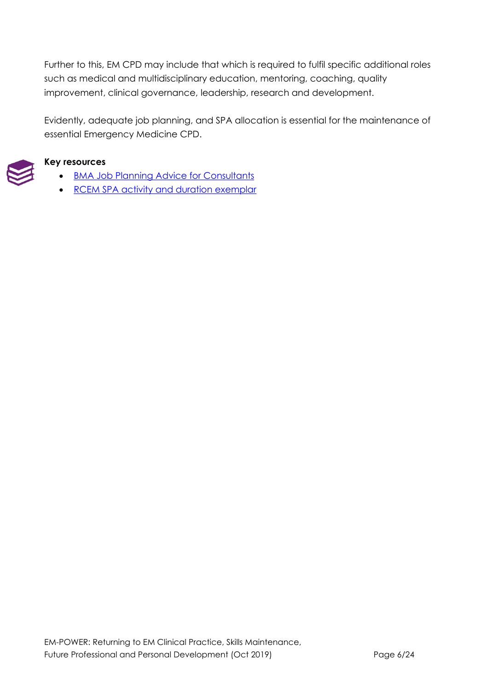Further to this, EM CPD may include that which is required to fulfil specific additional roles such as medical and multidisciplinary education, mentoring, coaching, quality improvement, clinical governance, leadership, research and development.

Evidently, adequate job planning, and SPA allocation is essential for the maintenance of essential Emergency Medicine CPD.



### **Key resources**

- **BMA Job Planning Advice for Consultants**
- [RCEM SPA activity and duration exemplar](https://www.rcem.ac.uk/docs/Workforce/SPA%20activity%20and%20duration%20exemplar.pdf)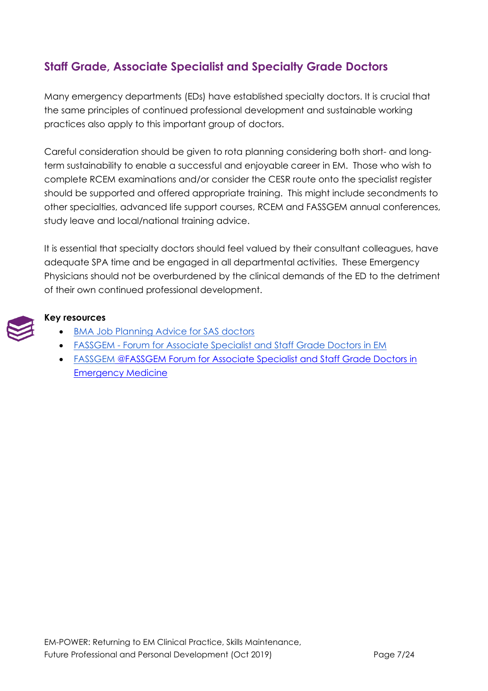# <span id="page-6-0"></span>**Staff Grade, Associate Specialist and Specialty Grade Doctors**

Many emergency departments (EDs) have established specialty doctors. It is crucial that the same principles of continued professional development and sustainable working practices also apply to this important group of doctors.

Careful consideration should be given to rota planning considering both short- and longterm sustainability to enable a successful and enjoyable career in EM. Those who wish to complete RCEM examinations and/or consider the CESR route onto the specialist register should be supported and offered appropriate training. This might include secondments to other specialties, advanced life support courses, RCEM and FASSGEM annual conferences, study leave and local/national training advice.

It is essential that specialty doctors should feel valued by their consultant colleagues, have adequate SPA time and be engaged in all departmental activities. These Emergency Physicians should not be overburdened by the clinical demands of the ED to the detriment of their own continued professional development.



### **Key resources**

- [BMA Job Planning Advice for SAS doctors](https://www.bma.org.uk/advice/employment/job-planning/job-planning-for-sas)
- FASSGEM [Forum for Associate Specialist and Staff Grade Doctors in EM](https://www.rcem.ac.uk/RCEM/Professionals/EMTA_FASSGEM/FASSGEM/RCEM/ForProfessionals/EMTA_FASSGEM/FASSGEM.aspx)
- FASSGEM [@FASSGEM Forum for Associate Specialist and Staff Grade Doctors in](https://www.rcem.ac.uk/RCEM/Professionals/EMTA_FASSGEM/FASSGEM/RCEM/ForProfessionals/EMTA_FASSGEM/FASSGEM.aspx)  [Emergency Medicine](https://www.rcem.ac.uk/RCEM/Professionals/EMTA_FASSGEM/FASSGEM/RCEM/ForProfessionals/EMTA_FASSGEM/FASSGEM.aspx)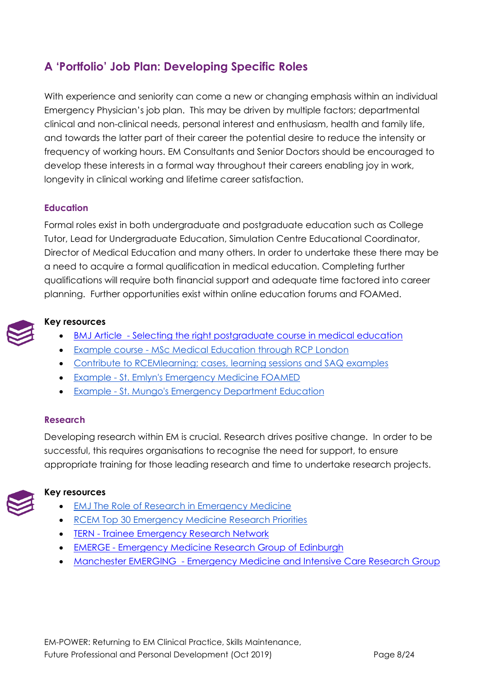# <span id="page-7-0"></span>**A 'Portfolio' Job Plan: Developing Specific Roles**

With experience and seniority can come a new or changing emphasis within an individual Emergency Physician's job plan. This may be driven by multiple factors; departmental clinical and non-clinical needs, personal interest and enthusiasm, health and family life, and towards the latter part of their career the potential desire to reduce the intensity or frequency of working hours. EM Consultants and Senior Doctors should be encouraged to develop these interests in a formal way throughout their careers enabling joy in work, longevity in clinical working and lifetime career satisfaction.

### <span id="page-7-1"></span>**Education**

Formal roles exist in both undergraduate and postgraduate education such as College Tutor, Lead for Undergraduate Education, Simulation Centre Educational Coordinator, Director of Medical Education and many others. In order to undertake these there may be a need to acquire a formal qualification in medical education. Completing further qualifications will require both financial support and adequate time factored into career planning. Further opportunities exist within online education forums and FOAMed.



### **Key resources**

- BMJ Article [Selecting the right postgraduate course in medical education](https://www.bmj.com/content/352/bmj.h6883)
- Example course [MSc Medical Education through RCP London](https://www.rcplondon.ac.uk/education-practice/courses/msc-medical-education)
- [Contribute to RCEMlearning; cases, learning sessions and SAQ examples](https://www.rcemlearning.co.uk/contribute/)
- Example [St. Emlyn's Emergency Medicine FOAMED](https://www.stemlynsblog.org/)
- Example [St. Mungo's Emergency Department Education](https://stmungos-ed.com/blog)

#### <span id="page-7-2"></span>**Research**

Developing research within EM is crucial. Research drives positive change. In order to be successful, this requires organisations to recognise the need for support, to ensure appropriate training for those leading research and time to undertake research projects.



### **Key resources**

- [EMJ The Role of Research in Emergency Medicine](https://blogs.bmj.com/emj/2018/01/31/the-role-of-research-in-emergency-medicine-training/)
- [RCEM Top 30 Emergency Medicine Research Priorities](https://www.rcem.ac.uk/docs/Research/FINAL%20ranking%20top%2030%20v2.pdf)
- **TERN** [Trainee Emergency Research Network](https://www.rcemlearning.co.uk/foamed/about-tern/)
- **EMERGE [Emergency Medicine Research Group of Edinburgh](http://www.emergeresearch.org/)**
- Manchester EMERGING [Emergency Medicine and Intensive Care Research Group](http://www.stemlynsblog.org/research/emerging/)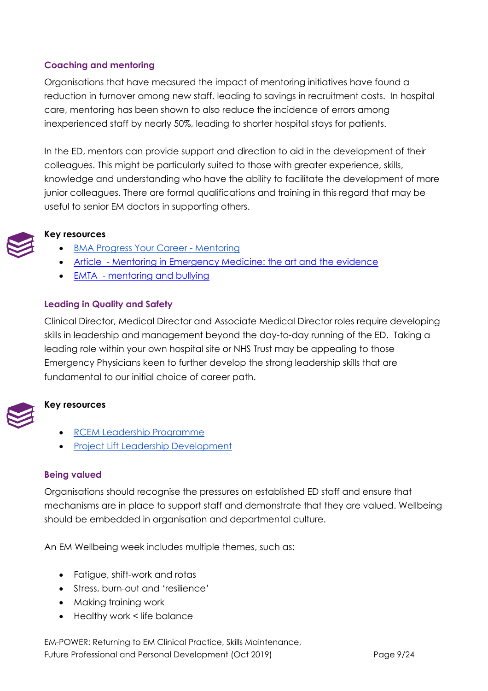## <span id="page-8-0"></span>**Coaching and mentoring**

Organisations that have measured the impact of mentoring initiatives have found a reduction in turnover among new staff, leading to savings in recruitment costs. In hospital care, mentoring has been shown to also reduce the incidence of errors among inexperienced staff by nearly 50%, leading to shorter hospital stays for patients.

In the ED, mentors can provide support and direction to aid in the development of their colleagues. This might be particularly suited to those with greater experience, skills, knowledge and understanding who have the ability to facilitate the development of more junior colleagues. There are formal qualifications and training in this regard that may be useful to senior EM doctors in supporting others.

### **Key resources**

- [BMA Progress Your Career -](https://www.bma.org.uk/advice/career/progress-your-career/mentoring) Mentoring
- Article [Mentoring in Emergency Medicine: the art and the evidence](https://www.ncbi.nlm.nih.gov/pubmed/20219162)
- EMTA [mentoring and bullying](http://www.emtraineesassociation.co.uk/mentoring-and-bullying.html)

### <span id="page-8-1"></span>**Leading in Quality and Safety**

Clinical Director, Medical Director and Associate Medical Director roles require developing skills in leadership and management beyond the day-to-day running of the ED. Taking a leading role within your own hospital site or NHS Trust may be appealing to those Emergency Physicians keen to further develop the strong leadership skills that are fundamental to our initial choice of career path.



## **Key resources**

- [RCEM Leadership Programme](https://www.rcem.ac.uk/RCEM/Exams_Training/UK_Trainees/Leadership_Programme/RCEM/Exams_Training/UK_Trainees/Leadership_Programme.aspx?hkey=0063ae18-b97a-4dba-aaf5-256743b1e3c3)
- [Project Lift Leadership Development](https://www.projectlift.scot/our-elements/leadership-development/)

### <span id="page-8-2"></span>**Being valued**

Organisations should recognise the pressures on established ED staff and ensure that mechanisms are in place to support staff and demonstrate that they are valued. Wellbeing should be embedded in organisation and departmental culture.

An EM Wellbeing week includes multiple themes, such as:

- Fatigue, shift-work and rotas
- Stress, burn-out and 'resilience'
- Making training work
- Healthy work < life balance

EM-POWER: Returning to EM Clinical Practice, Skills Maintenance, Future Professional and Personal Development (Oct 2019) Page 9/24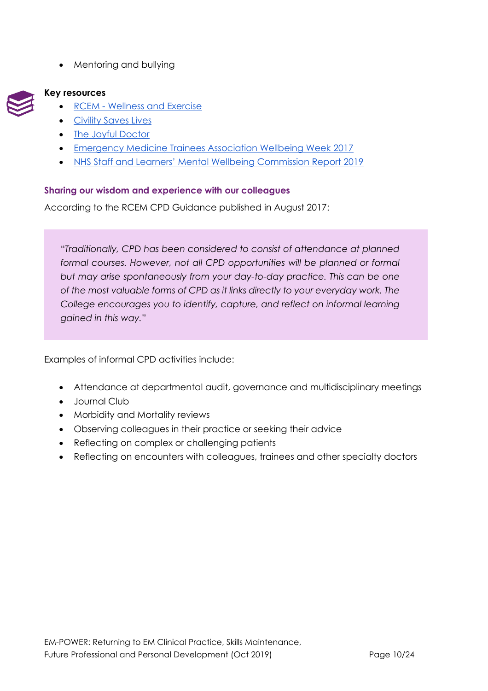• Mentoring and bullying



## **Key resources**

- RCEM [Wellness and Exercise](https://www.rcem.ac.uk/RCEM/About_Us/Celebration_Week/Wellness_and_Exercise.aspx?WebsiteKey=b3d6bb2a-abba-44ed-b758-467776a958cd)
- **[Civility Saves Lives](https://www.civilitysaveslives.com/)**
- [The Joyful Doctor](https://www.joyfuldoctor.com/)
- Emergency Medicine Trainees Association Wellbeing Week 2017
- [NHS Staff and Learners' Mental Wellbeing Commission Report 2019](https://www.hee.nhs.uk/sites/default/files/documents/NHS%20%28HEE%29%20-%20Mental%20Wellbeing%20Commission%20Report.pdf)

### <span id="page-9-0"></span>**Sharing our wisdom and experience with our colleagues**

According to the RCEM CPD Guidance published in August 2017:

"*Traditionally, CPD has been considered to consist of attendance at planned formal courses. However, not all CPD opportunities will be planned or formal but may arise spontaneously from your day-to-day practice. This can be one of the most valuable forms of CPD as it links directly to your everyday work. The College encourages you to identify, capture, and reflect on informal learning gained in this way.*"

Examples of informal CPD activities include:

- Attendance at departmental audit, governance and multidisciplinary meetings
- Journal Club
- Morbidity and Mortality reviews
- Observing colleagues in their practice or seeking their advice
- Reflecting on complex or challenging patients
- Reflecting on encounters with colleagues, trainees and other specialty doctors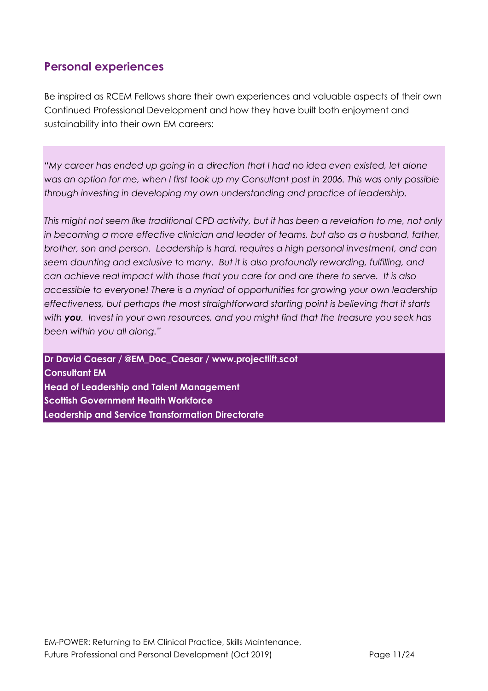## <span id="page-10-0"></span>**Personal experiences**

Be inspired as RCEM Fellows share their own experiences and valuable aspects of their own Continued Professional Development and how they have built both enjoyment and sustainability into their own EM careers:

*"My career has ended up going in a direction that I had no idea even existed, let alone was an option for me, when I first took up my Consultant post in 2006. This was only possible through investing in developing my own understanding and practice of leadership.*

*This might not seem like traditional CPD activity, but it has been a revelation to me, not only in becoming a more effective clinician and leader of teams, but also as a husband, father, brother, son and person. Leadership is hard, requires a high personal investment, and can seem daunting and exclusive to many. But it is also profoundly rewarding, fulfilling, and can achieve real impact with those that you care for and are there to serve. It is also accessible to everyone! There is a myriad of opportunities for growing your own leadership effectiveness, but perhaps the most straightforward starting point is believing that it starts with you. Invest in your own resources, and you might find that the treasure you seek has been within you all along."*

**Dr David Caesar / @EM\_Doc\_Caesar / www.projectlift.scot Consultant EM Head of Leadership and Talent Management Scottish Government Health Workforce Leadership and Service Transformation Directorate**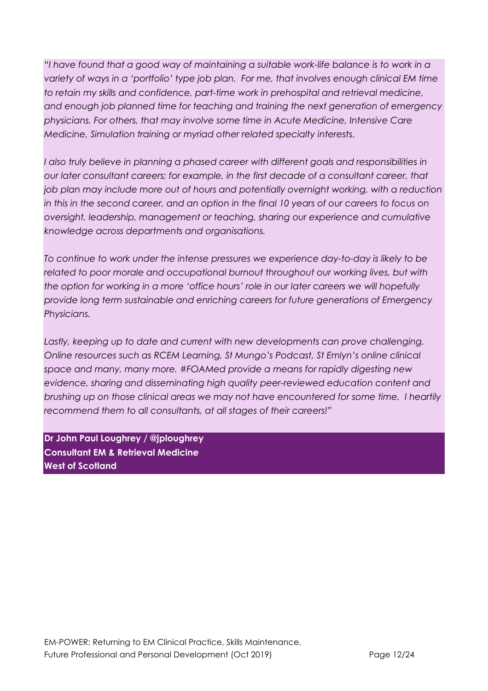*"I have found that a good way of maintaining a suitable work-life balance is to work in a variety of ways in a 'portfolio' type job plan. For me, that involves enough clinical EM time to retain my skills and confidence, part-time work in prehospital and retrieval medicine, and enough job planned time for teaching and training the next generation of emergency physicians. For others, that may involve some time in Acute Medicine, Intensive Care Medicine, Simulation training or myriad other related specialty interests.*

I also truly believe in planning a phased career with different goals and responsibilities in *our later consultant careers; for example, in the first decade of a consultant career, that*  job plan may include more out of hours and potentially overnight working, with a reduction *in this in the second career, and an option in the final 10 years of our careers to focus on oversight, leadership, management or teaching, sharing our experience and cumulative knowledge across departments and organisations.*

*To continue to work under the intense pressures we experience day-to-day is likely to be*  related to poor morale and occupational burnout throughout our working lives, but with *the option for working in a more 'office hours' role in our later careers we will hopefully provide long term sustainable and enriching careers for future generations of Emergency Physicians.*

Lastly, keeping up to date and current with new developments can prove challenging. *Online resources such as RCEM Learning, St Mungo's Podcast, St Emlyn's online clinical space and many, many more. #FOAMed provide a means for rapidly digesting new evidence, sharing and disseminating high quality peer-reviewed education content and brushing up on those clinical areas we may not have encountered for some time. I heartily recommend them to all consultants, at all stages of their careers!"*

**Dr John Paul Loughrey / @jploughrey Consultant EM & Retrieval Medicine West of Scotland**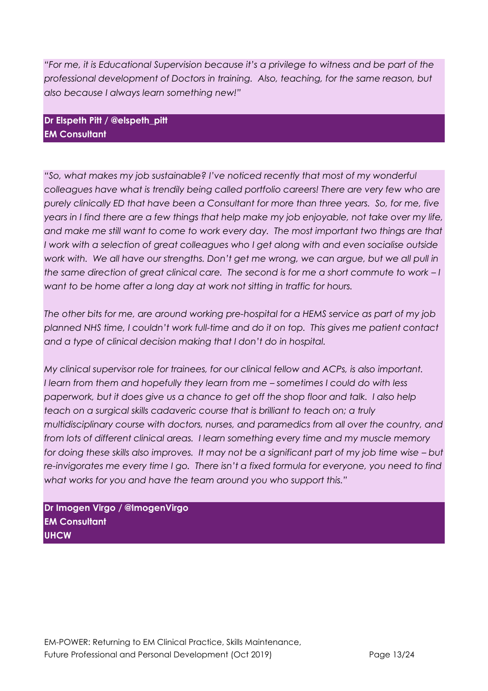*"For me, it is Educational Supervision because it's a privilege to witness and be part of the professional development of Doctors in training. Also, teaching, for the same reason, but also because I always learn something new!"*

**Dr Elspeth Pitt / @elspeth\_pitt EM Consultant**

*"So, what makes my job sustainable? I've noticed recently that most of my wonderful colleagues have what is trendily being called portfolio careers! There are very few who are purely clinically ED that have been a Consultant for more than three years. So, for me, five years in I find there are a few things that help make my job enjoyable, not take over my life, and make me still want to come to work every day. The most important two things are that I* work with a selection of great colleagues who *I* get along with and even socialise outside *work with. We all have our strengths. Don't get me wrong, we can argue, but we all pull in the same direction of great clinical care. The second is for me a short commute to work – I want to be home after a long day at work not sitting in traffic for hours.*

*The other bits for me, are around working pre-hospital for a HEMS service as part of my job planned NHS time, I couldn't work full-time and do it on top. This gives me patient contact and a type of clinical decision making that I don't do in hospital.* 

*My clinical supervisor role for trainees, for our clinical fellow and ACPs, is also important. I* learn from them and hopefully they learn from me – sometimes I could do with less *paperwork, but it does give us a chance to get off the shop floor and talk. I also help teach on a surgical skills cadaveric course that is brilliant to teach on; a truly multidisciplinary course with doctors, nurses, and paramedics from all over the country, and from lots of different clinical areas. I learn something every time and my muscle memory for doing these skills also improves. It may not be a significant part of my job time wise – but re-invigorates me every time I go. There isn't a fixed formula for everyone, you need to find what works for you and have the team around you who support this."*

**Dr Imogen Virgo / @ImogenVirgo EM Consultant UHCW**

EM-POWER: Returning to EM Clinical Practice, Skills Maintenance, Future Professional and Personal Development (Oct 2019) Page 13/24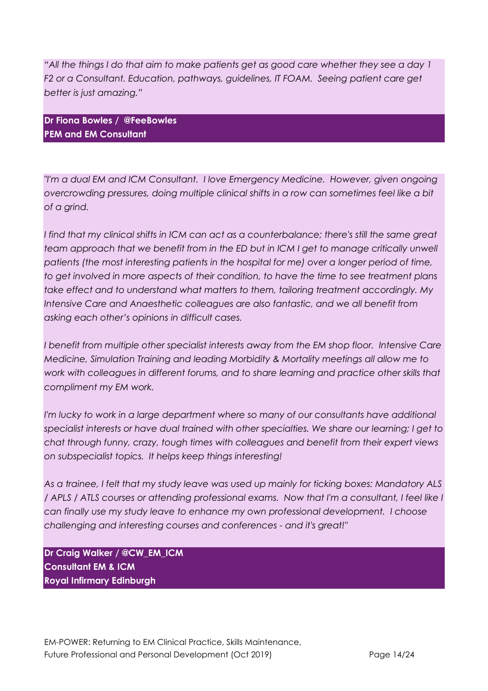*"All the things I do that aim to make patients get as good care whether they see a day 1 F2 or a Consultant. Education, pathways, guidelines, IT FOAM. Seeing patient care get better is just amazing."*

**Dr Fiona [Bowles](https://twitter.com/FeeBowles) / [@FeeBowles](https://twitter.com/FeeBowles) PEM and EM Consultant** 

*"I'm a dual EM and ICM Consultant. I love Emergency Medicine. However, given ongoing overcrowding pressures, doing multiple clinical shifts in a row can sometimes feel like a bit of a grind.*

*I find that my clinical shifts in ICM can act as a counterbalance; there's still the same great team approach that we benefit from in the ED but in ICM I get to manage critically unwell patients (the most interesting patients in the hospital for me) over a longer period of time, to get involved in more aspects of their condition, to have the time to see treatment plans take effect and to understand what matters to them, tailoring treatment accordingly. My Intensive Care and Anaesthetic colleagues are also fantastic, and we all benefit from asking each other's opinions in difficult cases.* 

*I benefit from multiple other specialist interests away from the EM shop floor. Intensive Care Medicine, Simulation Training and leading Morbidity & Mortality meetings all allow me to*  work with colleagues in different forums, and to share learning and practice other skills that *compliment my EM work.* 

*I'm lucky to work in a large department where so many of our consultants have additional specialist interests or have dual trained with other specialties. We share our learning; I get to chat through funny, crazy, tough times with colleagues and benefit from their expert views on subspecialist topics. It helps keep things interesting!*

*As a trainee, I felt that my study leave was used up mainly for ticking boxes: Mandatory ALS / APLS / ATLS courses or attending professional exams. Now that I'm a consultant, I feel like I can finally use my study leave to enhance my own professional development. I choose challenging and interesting courses and conferences - and it's great!"*

**Dr Craig Walker / @CW\_EM\_ICM Consultant EM & ICM Royal Infirmary Edinburgh**

EM-POWER: Returning to EM Clinical Practice, Skills Maintenance, Future Professional and Personal Development (Oct 2019) Page 14/24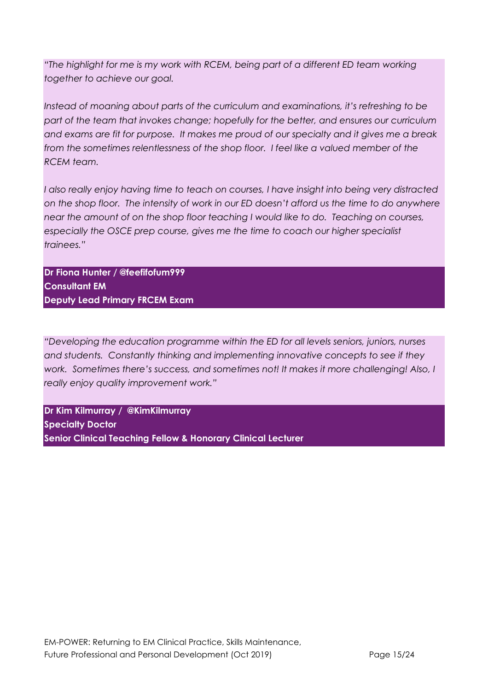*"The highlight for me is my work with RCEM, being part of a different ED team working together to achieve our goal.* 

*Instead of moaning about parts of the curriculum and examinations, it's refreshing to be part of the team that invokes change; hopefully for the better, and ensures our curriculum and exams are fit for purpose. It makes me proud of our specialty and it gives me a break from the sometimes relentlessness of the shop floor. I feel like a valued member of the RCEM team.* 

*I also really enjoy having time to teach on courses, I have insight into being very distracted on the shop floor. The intensity of work in our ED doesn't afford us the time to do anywhere near the amount of on the shop floor teaching I would like to do. Teaching on courses, especially the OSCE prep course, gives me the time to coach our higher specialist trainees."*

**Dr Fiona Hunter / @feefifofum999 Consultant EM Deputy Lead Primary FRCEM Exam** 

*"Developing the education programme within the ED for all levels seniors, juniors, nurses and students. Constantly thinking and implementing innovative concepts to see if they work. Sometimes there's success, and sometimes not! It makes it more challenging! Also, I really enjoy quality improvement work."*

**Dr [Kim](https://twitter.com/KimKilmurray) [Kilmurray](https://twitter.com/KimKilmurray) / [@KimKilmurray](https://twitter.com/KimKilmurray) Specialty Doctor Senior Clinical Teaching Fellow & Honorary Clinical Lecturer**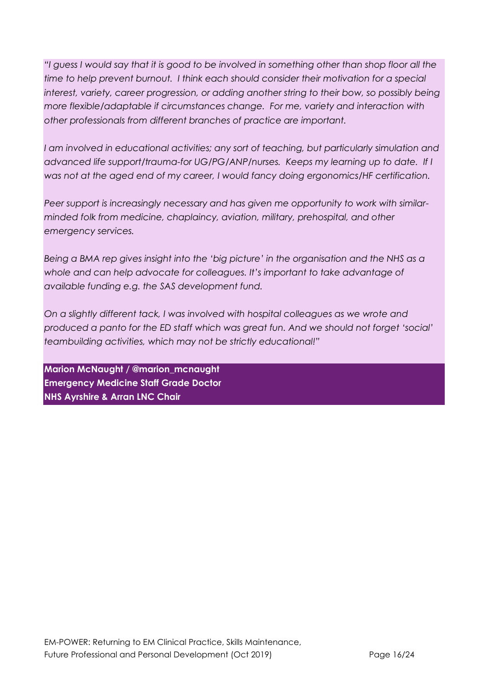*"I guess I would say that it is good to be involved in something other than shop floor all the time to help prevent burnout. I think each should consider their motivation for a special*  interest, variety, career progression, or adding another string to their bow, so possibly being *more flexible/adaptable if circumstances change. For me, variety and interaction with other professionals from different branches of practice are important.* 

*I am involved in educational activities; any sort of teaching, but particularly simulation and advanced life support/trauma-for UG/PG/ANP/nurses. Keeps my learning up to date. If I was not at the aged end of my career, I would fancy doing ergonomics/HF certification.*

*Peer support is increasingly necessary and has given me opportunity to work with similarminded folk from medicine, chaplaincy, aviation, military, prehospital, and other emergency services.*

*Being a BMA rep gives insight into the 'big picture' in the organisation and the NHS as a whole and can help advocate for colleagues. It's important to take advantage of available funding e.g. the SAS development fund.*

*On a slightly different tack, I was involved with hospital colleagues as we wrote and produced a panto for the ED staff which was great fun. And we should not forget 'social' teambuilding activities, which may not be strictly educational!"*

**Marion McNaught / @marion\_mcnaught Emergency Medicine Staff Grade Doctor NHS Ayrshire & Arran LNC Chair**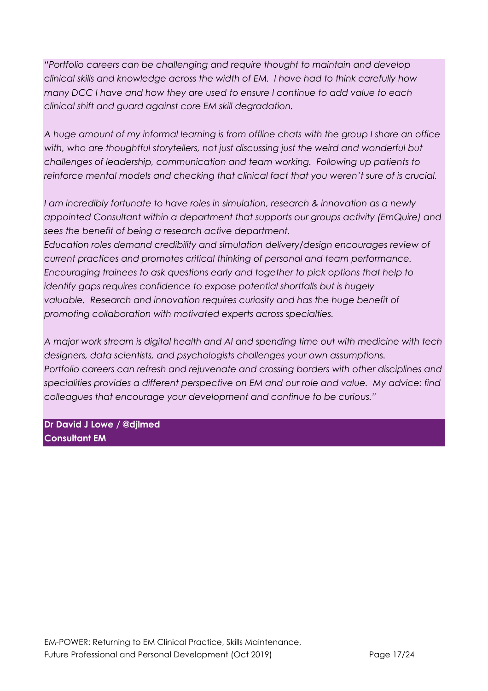*"Portfolio careers can be challenging and require thought to maintain and develop clinical skills and knowledge across the width of EM. I have had to think carefully how many DCC I have and how they are used to ensure I continue to add value to each clinical shift and guard against core EM skill degradation.* 

*A huge amount of my informal learning is from offline chats with the group I share an office*  with, who are thoughtful storytellers, not just discussing just the weird and wonderful but *challenges of leadership, communication and team working. Following up patients to reinforce mental models and checking that clinical fact that you weren't sure of is crucial.*

*I am incredibly fortunate to have roles in simulation, research & innovation as a newly appointed Consultant within a department that supports our groups activity (EmQuire) and sees the benefit of being a research active department.* 

*Education roles demand credibility and simulation delivery/design encourages review of current practices and promotes critical thinking of personal and team performance. Encouraging trainees to ask questions early and together to pick options that help to identify gaps requires confidence to expose potential shortfalls but is hugely valuable. Research and innovation requires curiosity and has the huge benefit of promoting collaboration with motivated experts across specialties.* 

*A major work stream is digital health and AI and spending time out with medicine with tech designers, data scientists, and psychologists challenges your own assumptions.* 

*Portfolio careers can refresh and rejuvenate and crossing borders with other disciplines and specialities provides a different perspective on EM and our role and value. My advice: find colleagues that encourage your development and continue to be curious."*

**Dr David J Lowe / @djlmed Consultant EM**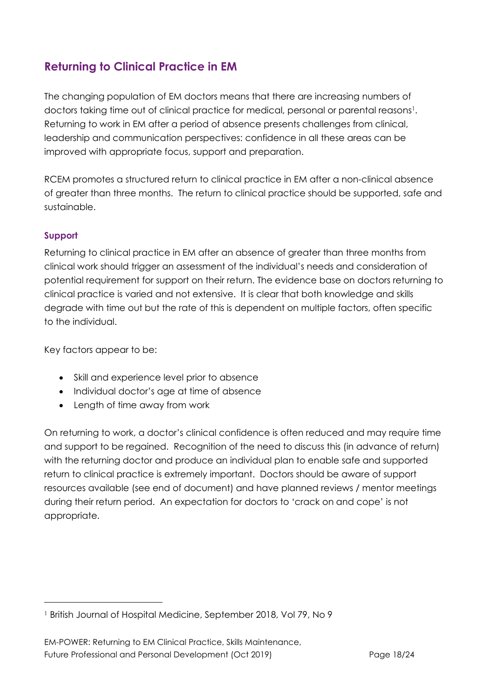# <span id="page-17-0"></span>**Returning to Clinical Practice in EM**

The changing population of EM doctors means that there are increasing numbers of doctors taking time out of clinical practice for medical, personal or parental reasons1. Returning to work in EM after a period of absence presents challenges from clinical, leadership and communication perspectives: confidence in all these areas can be improved with appropriate focus, support and preparation.

RCEM promotes a structured return to clinical practice in EM after a non-clinical absence of greater than three months. The return to clinical practice should be supported, safe and sustainable.

## <span id="page-17-1"></span>**Support**

Returning to clinical practice in EM after an absence of greater than three months from clinical work should trigger an assessment of the individual's needs and consideration of potential requirement for support on their return. The evidence base on doctors returning to clinical practice is varied and not extensive. It is clear that both knowledge and skills degrade with time out but the rate of this is dependent on multiple factors, often specific to the individual.

Key factors appear to be:

- Skill and experience level prior to absence
- Individual doctor's age at time of absence
- Length of time away from work

On returning to work, a doctor's clinical confidence is often reduced and may require time and support to be regained. Recognition of the need to discuss this (in advance of return) with the returning doctor and produce an individual plan to enable safe and supported return to clinical practice is extremely important. Doctors should be aware of support resources available (see end of document) and have planned reviews / mentor meetings during their return period. An expectation for doctors to 'crack on and cope' is not appropriate.

<sup>1</sup> British Journal of Hospital Medicine, September 2018, Vol 79, No 9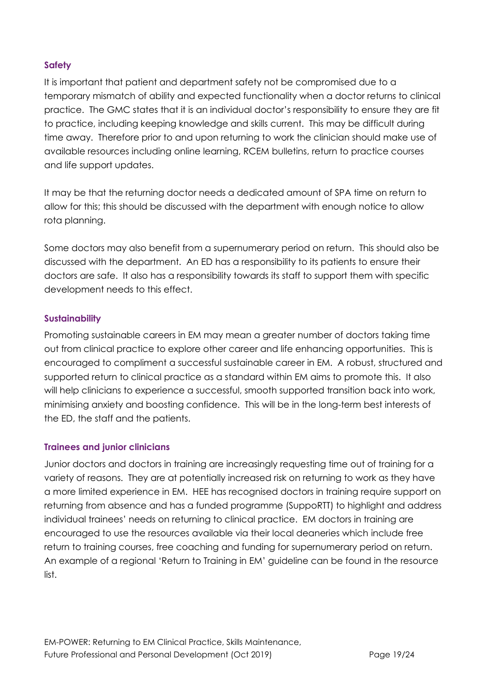## <span id="page-18-0"></span>**Safety**

It is important that patient and department safety not be compromised due to a temporary mismatch of ability and expected functionality when a doctor returns to clinical practice. The GMC states that it is an individual doctor's responsibility to ensure they are fit to practice, including keeping knowledge and skills current. This may be difficult during time away. Therefore prior to and upon returning to work the clinician should make use of available resources including online learning, RCEM bulletins, return to practice courses and life support updates.

It may be that the returning doctor needs a dedicated amount of SPA time on return to allow for this; this should be discussed with the department with enough notice to allow rota planning.

Some doctors may also benefit from a supernumerary period on return. This should also be discussed with the department. An ED has a responsibility to its patients to ensure their doctors are safe. It also has a responsibility towards its staff to support them with specific development needs to this effect.

### <span id="page-18-1"></span>**Sustainability**

Promoting sustainable careers in EM may mean a greater number of doctors taking time out from clinical practice to explore other career and life enhancing opportunities. This is encouraged to compliment a successful sustainable career in EM. A robust, structured and supported return to clinical practice as a standard within EM aims to promote this. It also will help clinicians to experience a successful, smooth supported transition back into work, minimising anxiety and boosting confidence. This will be in the long-term best interests of the ED, the staff and the patients.

### <span id="page-18-2"></span>**Trainees and junior clinicians**

Junior doctors and doctors in training are increasingly requesting time out of training for a variety of reasons. They are at potentially increased risk on returning to work as they have a more limited experience in EM. HEE has recognised doctors in training require support on returning from absence and has a funded programme (SuppoRTT) to highlight and address individual trainees' needs on returning to clinical practice. EM doctors in training are encouraged to use the resources available via their local deaneries which include free return to training courses, free coaching and funding for supernumerary period on return. An example of a regional 'Return to Training in EM' guideline can be found in the resource list.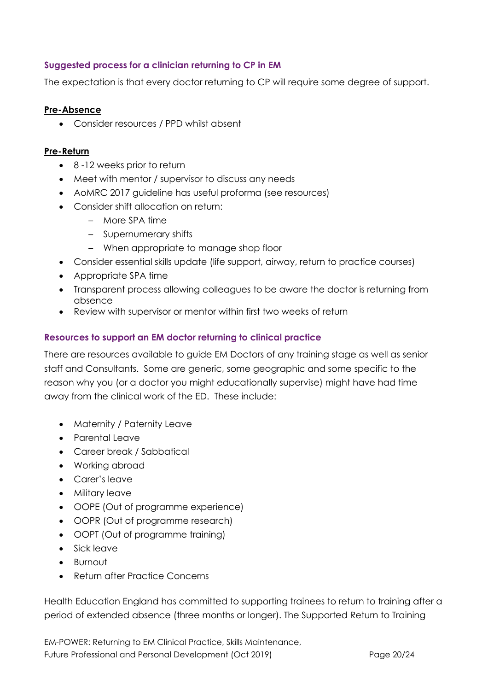## <span id="page-19-0"></span>**Suggested process for a clinician returning to CP in EM**

The expectation is that every doctor returning to CP will require some degree of support.

### **Pre-Absence**

• Consider resources / PPD whilst absent

### **Pre-Return**

- 8 -12 weeks prior to return
- Meet with mentor / supervisor to discuss any needs
- AoMRC 2017 guideline has useful proforma (see resources)
- Consider shift allocation on return:
	- More SPA time
	- Supernumerary shifts
	- When appropriate to manage shop floor
- Consider essential skills update (life support, airway, return to practice courses)
- Appropriate SPA time
- Transparent process allowing colleagues to be aware the doctor is returning from absence
- Review with supervisor or mentor within first two weeks of return

### <span id="page-19-1"></span>**Resources to support an EM doctor returning to clinical practice**

There are resources available to guide EM Doctors of any training stage as well as senior staff and Consultants. Some are generic, some geographic and some specific to the reason why you (or a doctor you might educationally supervise) might have had time away from the clinical work of the ED. These include:

- Maternity / Paternity Leave
- Parental Leave
- Career break / Sabbatical
- Working abroad
- Carer's leave
- Military leave
- OOPE (Out of programme experience)
- OOPR (Out of programme research)
- OOPT (Out of programme training)
- Sick leave
- Burnout
- Return after Practice Concerns

Health Education England has committed to supporting trainees to return to training after a period of extended absence (three months or longer). The Supported Return to Training

EM-POWER: Returning to EM Clinical Practice, Skills Maintenance, Future Professional and Personal Development (Oct 2019) Page 20/24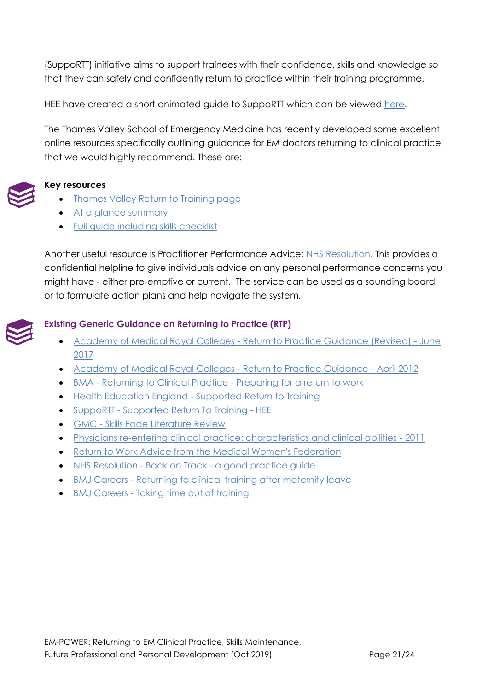(SuppoRTT) initiative aims to support trainees with their confidence, skills and knowledge so that they can safely and confidently return to practice within their training programme.

HEE have created a short animated guide to SuppoRTT which can be viewed [here.](https://www.hee.nhs.uk/our-work/supporting-doctors-returning-training-after-time-out)

The Thames Valley School of Emergency Medicine has recently developed some excellent online resources specifically outlining guidance for EM doctors returning to clinical practice that we would highly recommend. These are:



### **Key resources**

- [Thames Valley Return to Training page](https://www.tvsem.co.uk/return-to-training)
- [At a glance summary](https://docs.wixstatic.com/ugd/cdad09_867b73d80ed1491d9346b72574ec80e1.pdf)
- [Full guide including skills checklist](https://docs.wixstatic.com/ugd/cdad09_b8d9575af51841928e0a36e242a936c8.pdf)

Another useful resource is Practitioner Performance Advice: [NHS Resolution.](https://resolution.nhs.uk/services/practitioner-performance-advice/) This provides a confidential helpline to give individuals advice on any personal performance concerns you might have - either pre-emptive or current. The service can be used as a sounding board or to formulate action plans and help navigate the system.



## <span id="page-20-0"></span>**Existing Generic Guidance on Returning to Practice (RTP)**

- Academy of Medical Royal Colleges [Return to Practice Guidance \(Revised\) -](http://www.aomrc.org.uk/wp-content/uploads/2017/06/Return_to_Practice_guidance_2017_Revison_0617-2.pdf) June [2017](http://www.aomrc.org.uk/wp-content/uploads/2017/06/Return_to_Practice_guidance_2017_Revison_0617-2.pdf)
- [Academy of Medical Royal Colleges -](http://aomrc.org.uk/wp-content/uploads/2016/06/Return_to_practice_0412.pdf) Return to Practice Guidance April 2012
- BMA [Returning to Clinical Practice -](https://www.bma.org.uk/advice/career/applying-for-a-job/returning-to-clinical-practice-after-absence/preparing-for-a-return-to-work) Preparing for a return to work
- Health Education England [Supported Return to Training](https://www.hee.nhs.uk/sites/default/files/documents/Supported%20Return%20to%20Training.pdf)
- SuppoRTT [Supported Return To Training -](https://heeoe.hee.nhs.uk/psu/supported-return-training) HEE
- GMC [Skills Fade Literature Review](https://www.gmc-uk.org/about/what-we-do-and-why/data-and-research/research-and-insight-archive/skills-fade-literature-review)
- [Physicians re-entering clinical practice: characteristics and clinical abilities -](https://www.ncbi.nlm.nih.gov/pubmed/21425360) 2011
- [Return to Work Advice from the Medical Women's Federation](http://www.medicalwomensfederation.org.uk/advice-support/return-to-work-advice)
- NHS Resolution Back on Track [a good practice guide](https://resolution.nhs.uk/resources/back-on-track-a-good-practice-guide/)
- BMJ Careers [Returning to clinical training after maternity leave](https://www.bmj.com/content/347/bmj.f5965)
- BMJ Careers [Taking time out of training](https://www.bmj.com/content/351/bmj.h5460)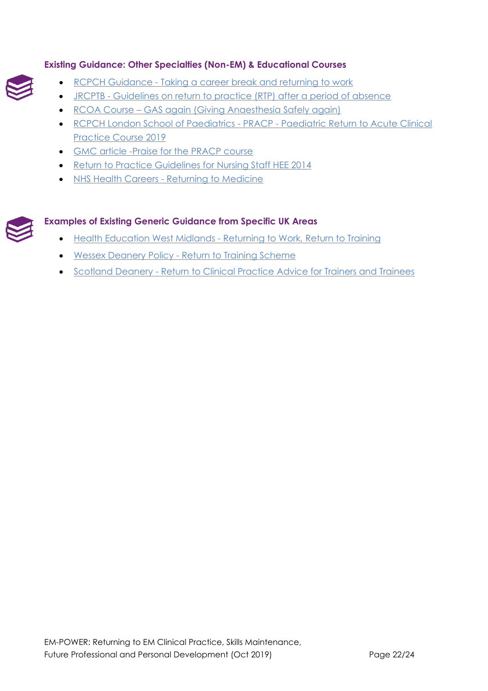## <span id="page-21-0"></span>**Existing Guidance: Other Specialties (Non-EM) & Educational Courses**



- JRCPTB [Guidelines on return to practice \(RTP\) after a period of absence](https://www.jrcptb.org.uk/sites/default/files/JRCPTB%20GUIDELINES%20ON%20RETURN%20TO%20PRACTICE.pdf)
- RCOA Course [GAS again \(Giving Anaesthesia Safely again\)](https://www.rcoa.ac.uk/GASAgain)
- [RCPCH London School of Paediatrics -](https://londonpaediatrics.co.uk/blog/paediatric-return-to-acute-clinical-practice-course-pracp-2019/) PRACP Paediatric Return to Acute Clinical [Practice Course 2019](https://londonpaediatrics.co.uk/blog/paediatric-return-to-acute-clinical-practice-course-pracp-2019/)
- [GMC article -Praise for the PRACP course](https://www.gmc-uk.org/education/how-we-quality-assure/sharing-good-practice/supporting-those-returning-from-a-break-in-clinical-work)
- [Return to Practice Guidelines for Nursing Staff HEE 2014](https://www.hee.nhs.uk/sites/default/files/documents/HEE%20Return%20to%20practice%20-%20Review%20of%20the%20Landscape%20Apr%202014.pdf)
- NHS Health Careers [Returning to Medicine](https://www.healthcareers.nhs.uk/explore-roles/doctors/returning-medicine)

### <span id="page-21-1"></span>**Examples of Existing Generic Guidance from Specific UK Areas**

- Health Education West Midlands [Returning to Work, Return to Training](https://www.westmidlandsdeanery.nhs.uk/Portals/0/Key%20Doc%20for%20Homepage/Return_to_Training_approved%20May%202013.pdf)
- Wessex Deanery Policy [Return to Training Scheme](http://www.wessexdeanery.nhs.uk/pdf/Final%20Return%20to%20Training%20Policy%20-%20August%202012.pdf)
- Scotland Deanery [Return to Clinical Practice Advice for Trainers and Trainees](http://www.scotlanddeanery.nhs.scot/trainee-information/support-for-trainees/return-to-clinical-practice/)

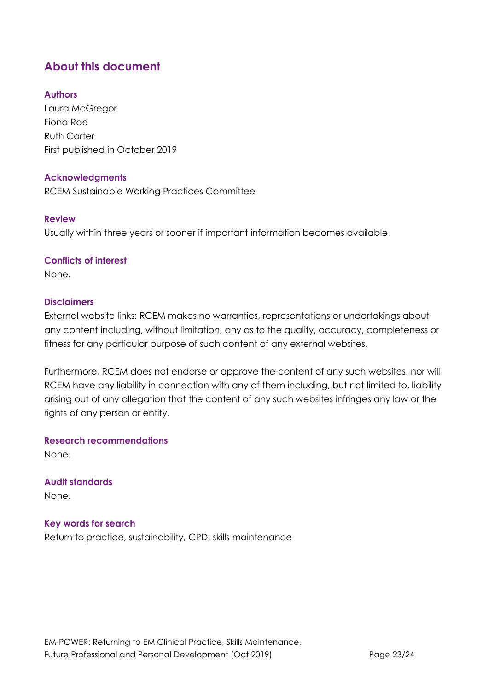# <span id="page-22-0"></span>**About this document**

## **Authors**

Laura McGregor Fiona Rae Ruth Carter First published in October 2019

### **Acknowledgments**

RCEM Sustainable Working Practices Committee

### **Review**

Usually within three years or sooner if important information becomes available.

### **Conflicts of interest**

None.

### **Disclaimers**

External website links: RCEM makes no warranties, representations or undertakings about any content including, without limitation, any as to the quality, accuracy, completeness or fitness for any particular purpose of such content of any external websites.

Furthermore, RCEM does not endorse or approve the content of any such websites, nor will RCEM have any liability in connection with any of them including, but not limited to, liability arising out of any allegation that the content of any such websites infringes any law or the rights of any person or entity.

**Research recommendations**

None.

**Audit standards** None.

**Key words for search** Return to practice, sustainability, CPD, skills maintenance